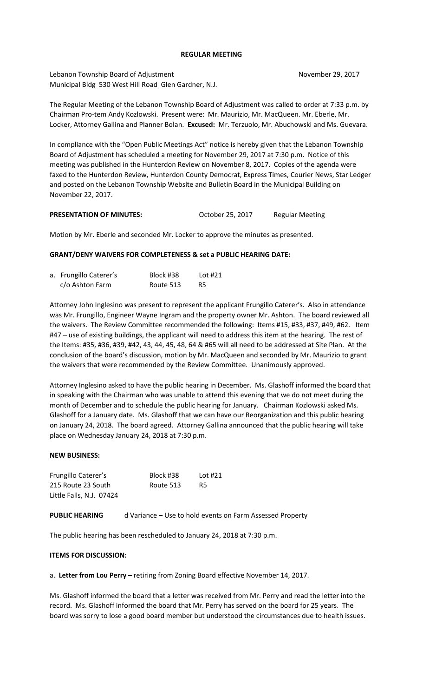## **REGULAR MEETING**

Lebanon Township Board of Adjustment November 29, 2017 Municipal Bldg 530 West Hill Road Glen Gardner, N.J.

The Regular Meeting of the Lebanon Township Board of Adjustment was called to order at 7:33 p.m. by Chairman Pro-tem Andy Kozlowski. Present were: Mr. Maurizio, Mr. MacQueen. Mr. Eberle, Mr. Locker, Attorney Gallina and Planner Bolan. **Excused:** Mr. Terzuolo, Mr. Abuchowski and Ms. Guevara.

In compliance with the "Open Public Meetings Act" notice is hereby given that the Lebanon Township Board of Adjustment has scheduled a meeting for November 29, 2017 at 7:30 p.m. Notice of this meeting was published in the Hunterdon Review on November 8, 2017. Copies of the agenda were faxed to the Hunterdon Review, Hunterdon County Democrat, Express Times, Courier News, Star Ledger and posted on the Lebanon Township Website and Bulletin Board in the Municipal Building on November 22, 2017.

PRESENTATION OF MINUTES: October 25, 2017 Regular Meeting

Motion by Mr. Eberle and seconded Mr. Locker to approve the minutes as presented.

# **GRANT/DENY WAIVERS FOR COMPLETENESS & set a PUBLIC HEARING DATE:**

| a. Frungillo Caterer's | Block #38 | Lot #21 |
|------------------------|-----------|---------|
| c/o Ashton Farm        | Route 513 | -R5     |

Attorney John Inglesino was present to represent the applicant Frungillo Caterer's. Also in attendance was Mr. Frungillo, Engineer Wayne Ingram and the property owner Mr. Ashton. The board reviewed all the waivers. The Review Committee recommended the following: Items #15, #33, #37, #49, #62. Item #47 – use of existing buildings, the applicant will need to address this item at the hearing. The rest of the Items: #35, #36, #39, #42, 43, 44, 45, 48, 64 & #65 will all need to be addressed at Site Plan. At the conclusion of the board's discussion, motion by Mr. MacQueen and seconded by Mr. Maurizio to grant the waivers that were recommended by the Review Committee. Unanimously approved.

Attorney Inglesino asked to have the public hearing in December. Ms. Glashoff informed the board that in speaking with the Chairman who was unable to attend this evening that we do not meet during the month of December and to schedule the public hearing for January. Chairman Kozlowski asked Ms. Glashoff for a January date. Ms. Glashoff that we can have our Reorganization and this public hearing on January 24, 2018. The board agreed. Attorney Gallina announced that the public hearing will take place on Wednesday January 24, 2018 at 7:30 p.m.

# **NEW BUSINESS:**

| Frungillo Caterer's      | Block #38 | Lot $#21$ |
|--------------------------|-----------|-----------|
| 215 Route 23 South       | Route 513 | R5        |
| Little Falls, N.J. 07424 |           |           |

**PUBLIC HEARING** d Variance – Use to hold events on Farm Assessed Property

The public hearing has been rescheduled to January 24, 2018 at 7:30 p.m.

# **ITEMS FOR DISCUSSION:**

a. **Letter from Lou Perry** – retiring from Zoning Board effective November 14, 2017.

Ms. Glashoff informed the board that a letter was received from Mr. Perry and read the letter into the record. Ms. Glashoff informed the board that Mr. Perry has served on the board for 25 years. The board was sorry to lose a good board member but understood the circumstances due to health issues.